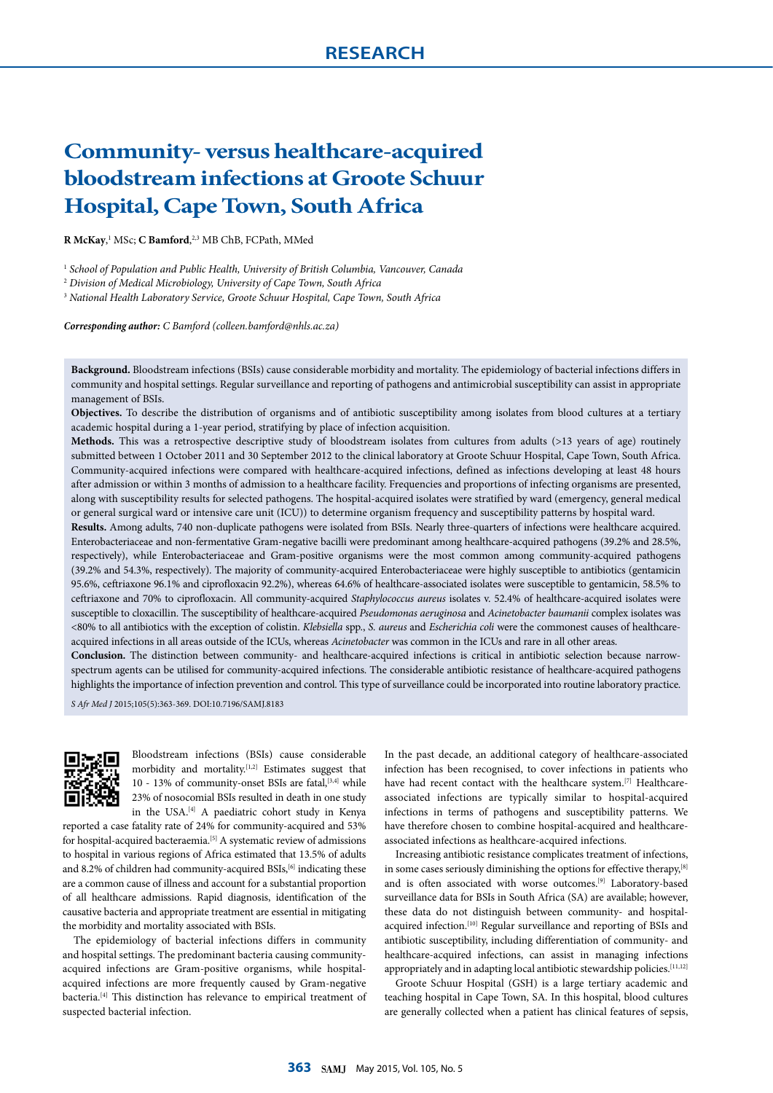# **Community- versus healthcare-acquired bloodstream infections at Groote Schuur Hospital, Cape Town, South Africa**

**R McKay**,<sup>1</sup> MSc; **C Bamford**,<sup>2,3</sup> MB ChB, FCPath, MMed

<sup>1</sup> School of Population and Public Health, University of British Columbia, Vancouver, Canada

<sup>2</sup> *Division of Medical Microbiology, University of Cape Town, South Africa*

<sup>3</sup> *National Health Laboratory Service, Groote Schuur Hospital, Cape Town, South Africa*

*Corresponding author: C Bamford (colleen.bamford@nhls.ac.za)*

**Background.** Bloodstream infections (BSIs) cause considerable morbidity and mortality. The epidemiology of bacterial infections differs in community and hospital settings. Regular surveillance and reporting of pathogens and antimicrobial susceptibility can assist in appropriate management of BSIs.

**Objectives.** To describe the distribution of organisms and of antibiotic susceptibility among isolates from blood cultures at a tertiary academic hospital during a 1-year period, stratifying by place of infection acquisition.

**Methods.** This was a retrospective descriptive study of bloodstream isolates from cultures from adults (>13 years of age) routinely submitted between 1 October 2011 and 30 September 2012 to the clinical laboratory at Groote Schuur Hospital, Cape Town, South Africa. Community-acquired infections were compared with healthcare-acquired infections, defined as infections developing at least 48 hours after admission or within 3 months of admission to a healthcare facility. Frequencies and proportions of infecting organisms are presented, along with susceptibility results for selected pathogens. The hospital-acquired isolates were stratified by ward (emergency, general medical or general surgical ward or intensive care unit (ICU)) to determine organism frequency and susceptibility patterns by hospital ward.

**Results.** Among adults, 740 non-duplicate pathogens were isolated from BSIs. Nearly three-quarters of infections were healthcare acquired. Enterobacteriaceae and non-fermentative Gram-negative bacilli were predominant among healthcare-acquired pathogens (39.2% and 28.5%, respectively), while Enterobacteriaceae and Gram-positive organisms were the most common among community-acquired pathogens (39.2% and 54.3%, respectively). The majority of community-acquired Enterobacteriaceae were highly susceptible to antibiotics (gentamicin 95.6%, ceftriaxone 96.1% and ciprofloxacin 92.2%), whereas 64.6% of healthcare-associated isolates were susceptible to gentamicin, 58.5% to ceftriaxone and 70% to ciprofloxacin. All community-acquired *Staphylococcus aureus* isolates v. 52.4% of healthcare-acquired isolates were susceptible to cloxacillin. The susceptibility of healthcare-acquired *Pseudomonas aeruginosa* and *Acinetobacter baumanii* complex isolates was <80% to all antibiotics with the exception of colistin. *Klebsiella* spp., *S. aureus* and *Escherichia coli* were the commonest causes of healthcareacquired infections in all areas outside of the ICUs, whereas *Acinetobacter* was common in the ICUs and rare in all other areas.

**Conclusion.** The distinction between community- and healthcare-acquired infections is critical in antibiotic selection because narrowspectrum agents can be utilised for community-acquired infections. The considerable antibiotic resistance of healthcare-acquired pathogens highlights the importance of infection prevention and control. This type of surveillance could be incorporated into routine laboratory practice.

*S Afr Med J* 2015;105(5):363-369. DOI:10.7196/SAMJ.8183



Bloodstream infections (BSIs) cause considerable morbidity and mortality.<sup>[1,2]</sup> Estimates suggest that 10 - 13% of community-onset BSIs are fatal,<sup>[3,4]</sup> while 23% of nosocomial BSIs resulted in death in one study in the USA.[4] A paediatric cohort study in Kenya

reported a case fatality rate of 24% for community-acquired and 53% for hospital-acquired bacteraemia.[5] A systematic review of admissions to hospital in various regions of Africa estimated that 13.5% of adults and 8.2% of children had community-acquired BSIs,<sup>[6]</sup> indicating these are a common cause of illness and account for a substantial proportion of all healthcare admissions. Rapid diagnosis, identification of the causative bacteria and appropriate treatment are essential in mitigating the morbidity and mortality associated with BSIs.

The epidemiology of bacterial infections differs in community and hospital settings. The predominant bacteria causing communityacquired infections are Gram-positive organisms, while hospitalacquired infections are more frequently caused by Gram-negative bacteria.[4] This distinction has relevance to empirical treatment of suspected bacterial infection.

In the past decade, an additional category of healthcare-associated infection has been recognised, to cover infections in patients who have had recent contact with the healthcare system.<sup>[7]</sup> Healthcareassociated infections are typically similar to hospital-acquired infections in terms of pathogens and susceptibility patterns. We have therefore chosen to combine hospital-acquired and healthcareassociated infections as healthcare-acquired infections.

Increasing antibiotic resistance complicates treatment of infections, in some cases seriously diminishing the options for effective therapy,<sup>[8]</sup> and is often associated with worse outcomes.<sup>[9]</sup> Laboratory-based surveillance data for BSIs in South Africa (SA) are available; however, these data do not distinguish between community- and hospitalacquired infection.<sup>[10]</sup> Regular surveillance and reporting of BSIs and antibiotic susceptibility, including differentiation of community- and healthcare-acquired infections, can assist in managing infections appropriately and in adapting local antibiotic stewardship policies.<sup>[11,12]</sup>

Groote Schuur Hospital (GSH) is a large tertiary academic and teaching hospital in Cape Town, SA. In this hospital, blood cultures are generally collected when a patient has clinical features of sepsis,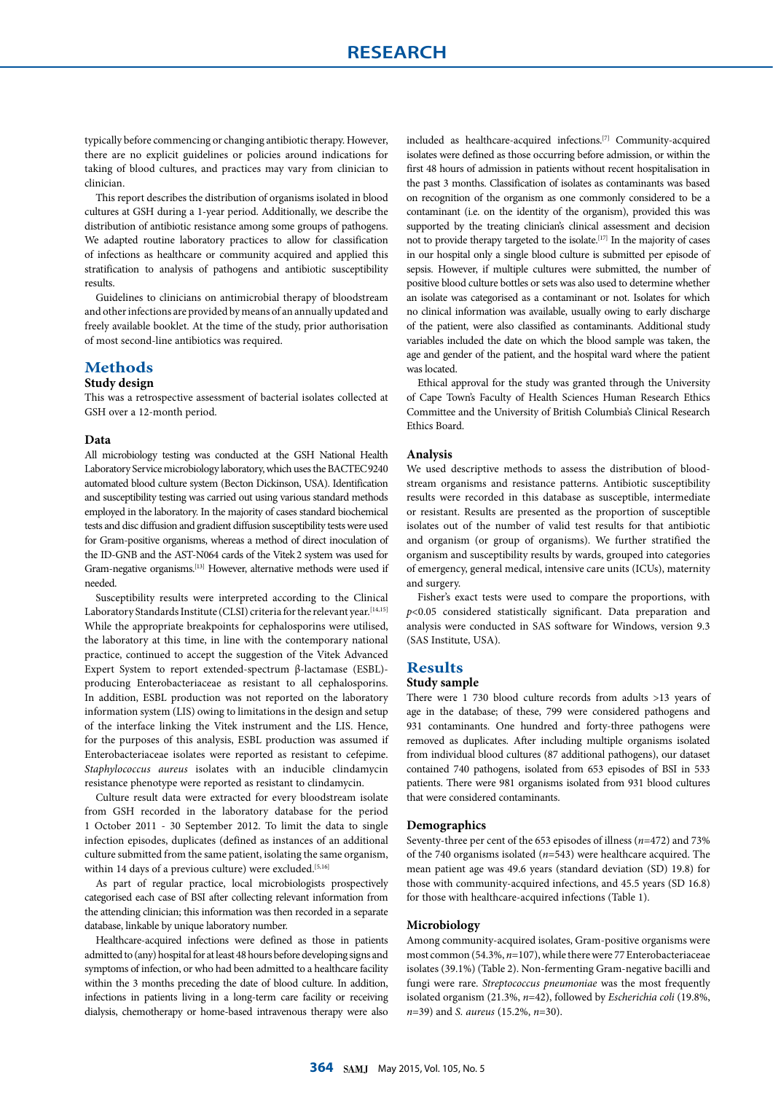typically before commencing or changing antibiotic therapy. However, there are no explicit guidelines or policies around indications for taking of blood cultures, and practices may vary from clinician to clinician.

This report describes the distribution of organisms isolated in blood cultures at GSH during a 1-year period. Additionally, we describe the distribution of antibiotic resistance among some groups of pathogens. We adapted routine laboratory practices to allow for classification of infections as healthcare or community acquired and applied this stratification to analysis of pathogens and antibiotic susceptibility results.

Guidelines to clinicians on antimicrobial therapy of bloodstream and other infections are provided by means of an annually updated and freely available booklet. At the time of the study, prior authorisation of most second-line antibiotics was required.

# **Methods**

# **Study design**

This was a retrospective assessment of bacterial isolates collected at GSH over a 12-month period.

#### **Data**

All microbiology testing was conducted at the GSH National Health Laboratory Service microbiology laboratory, which uses the BACTEC9240 automated blood culture system (Becton Dickinson, USA). Identification and susceptibility testing was carried out using various standard methods employed in the laboratory. In the majority of cases standard biochemical tests and disc diffusion and gradient diffusion susceptibility tests were used for Gram-positive organisms, whereas a method of direct inoculation of the ID-GNB and the AST-N064 cards of the Vitek 2 system was used for Gram-negative organisms.[13] However, alternative methods were used if needed.

Susceptibility results were interpreted according to the Clinical Laboratory Standards Institute (CLSI) criteria for the relevant year.<sup>[14,15]</sup> While the appropriate breakpoints for cephalosporins were utilised, the laboratory at this time, in line with the contemporary national practice, continued to accept the suggestion of the Vitek Advanced Expert System to report extended-spectrum β-lactamase (ESBL) producing Enterobacteriaceae as resistant to all cephalosporins. In addition, ESBL production was not reported on the laboratory information system (LIS) owing to limitations in the design and setup of the interface linking the Vitek instrument and the LIS. Hence, for the purposes of this analysis, ESBL production was assumed if Enterobacteriaceae isolates were reported as resistant to cefepime. *Staphylococcus aureus* isolates with an inducible clindamycin resistance phenotype were reported as resistant to clindamycin.

Culture result data were extracted for every bloodstream isolate from GSH recorded in the laboratory database for the period 1 October 2011 - 30 September 2012. To limit the data to single infection episodes, duplicates (defined as instances of an additional culture submitted from the same patient, isolating the same organism, within 14 days of a previous culture) were excluded.<sup>[5,16]</sup>

As part of regular practice, local microbiologists prospectively categorised each case of BSI after collecting relevant information from the attending clinician; this information was then recorded in a separate database, linkable by unique laboratory number.

Healthcare-acquired infections were defined as those in patients admitted to (any) hospital for at least 48 hours before developing signs and symptoms of infection, or who had been admitted to a healthcare facility within the 3 months preceding the date of blood culture. In addition, infections in patients living in a long-term care facility or receiving dialysis, chemotherapy or home-based intravenous therapy were also included as healthcare-acquired infections.[7] Community-acquired isolates were defined as those occurring before admission, or within the first 48 hours of admission in patients without recent hospitalisation in the past 3 months. Classification of isolates as contaminants was based on recognition of the organism as one commonly considered to be a contaminant (i.e. on the identity of the organism), provided this was supported by the treating clinician's clinical assessment and decision not to provide therapy targeted to the isolate.[17] In the majority of cases in our hospital only a single blood culture is submitted per episode of sepsis. However, if multiple cultures were submitted, the number of positive blood culture bottles or sets was also used to determine whether an isolate was categorised as a contaminant or not. Isolates for which no clinical information was available, usually owing to early discharge of the patient, were also classified as contaminants. Additional study variables included the date on which the blood sample was taken, the age and gender of the patient, and the hospital ward where the patient was located.

Ethical approval for the study was granted through the University of Cape Town's Faculty of Health Sciences Human Research Ethics Committee and the University of British Columbia's Clinical Research Ethics Board.

### **Analysis**

We used descriptive methods to assess the distribution of bloodstream organisms and resistance patterns. Antibiotic susceptibility results were recorded in this database as susceptible, intermediate or resistant. Results are presented as the proportion of susceptible isolates out of the number of valid test results for that antibiotic and organism (or group of organisms). We further stratified the organism and susceptibility results by wards, grouped into categories of emergency, general medical, intensive care units (ICUs), maternity and surgery.

Fisher's exact tests were used to compare the proportions, with *p*<0.05 considered statistically significant. Data preparation and analysis were conducted in SAS software for Windows, version 9.3 (SAS Institute, USA).

# **Results**

#### **Study sample**

There were 1 730 blood culture records from adults >13 years of age in the database; of these, 799 were considered pathogens and 931 contaminants. One hundred and forty-three pathogens were removed as duplicates. After including multiple organisms isolated from individual blood cultures (87 additional pathogens), our dataset contained 740 pathogens, isolated from 653 episodes of BSI in 533 patients. There were 981 organisms isolated from 931 blood cultures that were considered contaminants.

# **Demographics**

Seventy-three per cent of the 653 episodes of illness (*n*=472) and 73% of the 740 organisms isolated (*n*=543) were healthcare acquired. The mean patient age was 49.6 years (standard deviation (SD) 19.8) for those with community-acquired infections, and 45.5 years (SD 16.8) for those with healthcare-acquired infections (Table 1).

# **Microbiology**

Among community-acquired isolates, Gram-positive organisms were most common (54.3%, *n*=107), while there were 77 Enterobacteriaceae isolates (39.1%) (Table 2). Non-fermenting Gram-negative bacilli and fungi were rare. *Streptococcus pneumoniae* was the most frequently isolated organism (21.3%, *n*=42), followed by *Escherichia coli* (19.8%, *n*=39) and *S. aureus* (15.2%, *n*=30).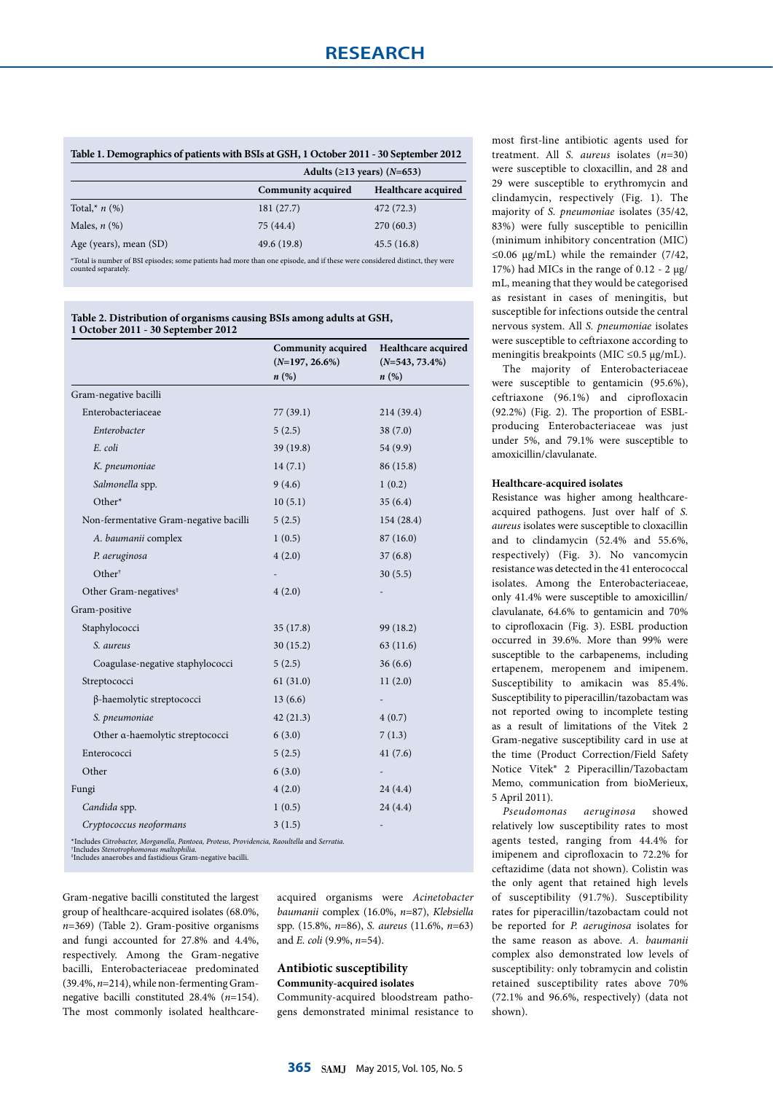| Table 1. Demographics of patients with BSIs at GSH, 1 October 2011 - 30 September 2012                                      |                           |                                   |  |  |  |  |
|-----------------------------------------------------------------------------------------------------------------------------|---------------------------|-----------------------------------|--|--|--|--|
|                                                                                                                             |                           | Adults ( $\geq$ 13 years) (N=653) |  |  |  |  |
|                                                                                                                             | <b>Community acquired</b> | Healthcare acquired               |  |  |  |  |
| Total,* $n$ (%)                                                                                                             | 181(27.7)                 | 472 (72.3)                        |  |  |  |  |
| Males, $n$ $(\%)$                                                                                                           | 75(44.4)                  | 270(60.3)                         |  |  |  |  |
| Age (years), mean (SD)                                                                                                      | 49.6 (19.8)               | 45.5(16.8)                        |  |  |  |  |
| *Total is number of BSI episodes; some patients had more than one episode, and if these were considered distinct, they were |                           |                                   |  |  |  |  |

#### **Table 2. Distribution of organisms causing BSIs among adults at GSH, 1 October 2011 - 30 September 2012**

counted separately.

|                                                                                            | Community acquired<br>$(N=197, 26.6\%)$ | Healthcare acquired<br>$(N=543, 73.4\%)$ |  |  |
|--------------------------------------------------------------------------------------------|-----------------------------------------|------------------------------------------|--|--|
|                                                                                            | $n\left(\%\right)$                      | n(%)                                     |  |  |
| Gram-negative bacilli                                                                      |                                         |                                          |  |  |
| Enterobacteriaceae                                                                         | 77(39.1)                                | 214 (39.4)                               |  |  |
| Enterobacter                                                                               | 5(2.5)                                  | 38(7.0)                                  |  |  |
| E. coli                                                                                    | 39 (19.8)                               | 54 (9.9)                                 |  |  |
| K. pneumoniae                                                                              | 14(7.1)                                 | 86 (15.8)                                |  |  |
| Salmonella spp.                                                                            | 9(4.6)                                  | 1(0.2)                                   |  |  |
| Other*                                                                                     | 10(5.1)                                 | 35(6.4)                                  |  |  |
| Non-fermentative Gram-negative bacilli                                                     | 5(2.5)                                  | 154(28.4)                                |  |  |
| A. baumanii complex                                                                        | 1(0.5)                                  | 87(16.0)                                 |  |  |
| P. aeruginosa                                                                              | 4(2.0)                                  | 37(6.8)                                  |  |  |
| Other <sup>†</sup>                                                                         |                                         | 30(5.5)                                  |  |  |
| Other Gram-negatives <sup>#</sup>                                                          | 4(2.0)                                  |                                          |  |  |
| Gram-positive                                                                              |                                         |                                          |  |  |
| Staphylococci                                                                              | 35(17.8)                                | 99 (18.2)                                |  |  |
| S. aureus                                                                                  | 30(15.2)                                | 63(11.6)                                 |  |  |
| Coagulase-negative staphylococci                                                           | 5(2.5)                                  | 36(6.6)                                  |  |  |
| Streptococci                                                                               | 61(31.0)                                | 11(2.0)                                  |  |  |
| β-haemolytic streptococci                                                                  | 13(6.6)                                 |                                          |  |  |
| S. pneumoniae                                                                              | 42(21.3)                                | 4(0.7)                                   |  |  |
| Other a-haemolytic streptococci                                                            | 6(3.0)                                  | 7(1.3)                                   |  |  |
| Enterococci                                                                                | 5(2.5)                                  | 41(7.6)                                  |  |  |
| Other                                                                                      | 6(3.0)                                  |                                          |  |  |
| Fungi                                                                                      | 4(2.0)                                  | 24(4.4)                                  |  |  |
| Candida spp.                                                                               | 1(0.5)                                  | 24(4.4)                                  |  |  |
| Cryptococcus neoformans                                                                    | 3(1.5)                                  |                                          |  |  |
| *Includes Citrobacter, Morganella, Pantoea, Proteus, Providencia, Raoultella and Serratia. |                                         |                                          |  |  |

\*Includes *Citrobacter, Morganella, Pantoea, Proteus, Providencia, Raoultella* and *Serratia.*<br>'Includes Ste*notrophomonas maltophilia.*<br>'Includes anaerobes and fastidious Gram-negative bacilli.

Gram-negative bacilli constituted the largest group of healthcare-acquired isolates (68.0%, *n*=369) (Table 2). Gram-positive organisms and fungi accounted for 27.8% and 4.4%, respectively. Among the Gram-negative bacilli, Enterobacteriaceae predominated (39.4%, *n*=214), while non-fermenting Gramnegative bacilli constituted 28.4% (*n*=154). The most commonly isolated healthcareacquired organisms were *Acinetobacter baumanii* complex (16.0%, *n*=87), *Klebsiella* spp. (15.8%, *n*=86), *S. aureus* (11.6%, *n*=63) and *E. coli* (9.9%, *n*=54).

# **Antibiotic susceptibility Community-acquired isolates**

Community-acquired bloodstream pathogens demonstrated minimal resistance to most first-line antibiotic agents used for treatment. All *S. aureus* isolates (*n*=30) were susceptible to cloxacillin, and 28 and 29 were susceptible to erythromycin and clindamycin, respectively (Fig. 1). The majority of *S. pneumoniae* isolates (35/42, 83%) were fully susceptible to penicillin (minimum inhibitory concentration (MIC) ≤0.06 µg/mL) while the remainder (7/42, 17%) had MICs in the range of 0.12 - 2  $\mu$ g/ mL, meaning that they would be categorised as resistant in cases of meningitis, but susceptible for infections outside the central nervous system. All *S. pneumoniae* isolates were susceptible to ceftriaxone according to meningitis breakpoints (MIC ≤0.5 µg/mL).

The majority of Enterobacteriaceae were susceptible to gentamicin (95.6%), ceftriaxone (96.1%) and ciprofloxacin (92.2%) (Fig. 2). The proportion of ESBLproducing Enterobacteriaceae was just under 5%, and 79.1% were susceptible to amoxicillin/clavulanate.

# **Healthcare-acquired isolates**

Resistance was higher among healthcareacquired pathogens. Just over half of *S. aureus* isolates were susceptible to cloxacillin and to clindamycin (52.4% and 55.6%, respectively) (Fig. 3). No vancomycin resistance was detected in the 41 enterococcal isolates. Among the Enterobacteriaceae, only 41.4% were susceptible to amoxicillin/ clavulanate, 64.6% to gentamicin and 70% to ciprofloxacin (Fig. 3). ESBL production occurred in 39.6%. More than 99% were susceptible to the carbapenems, including ertapenem, meropenem and imipenem. Susceptibility to amikacin was 85.4%. Susceptibility to piperacillin/tazobactam was not reported owing to incomplete testing as a result of limitations of the Vitek 2 Gram-negative susceptibility card in use at the time (Product Correction/Field Safety Notice Vitek® 2 Piperacillin/Tazobactam Memo, communication from bioMerieux, 5 April 2011).

*Pseudomonas aeruginosa* showed relatively low susceptibility rates to most agents tested, ranging from 44.4% for imipenem and ciprofloxacin to 72.2% for ceftazidime (data not shown). Colistin was the only agent that retained high levels of susceptibility (91.7%). Susceptibility rates for piperacillin/tazobactam could not be reported for *P. aeruginosa* isolates for the same reason as above. *A. baumanii* complex also demonstrated low levels of susceptibility: only tobramycin and colistin retained susceptibility rates above 70% (72.1% and 96.6%, respectively) (data not shown).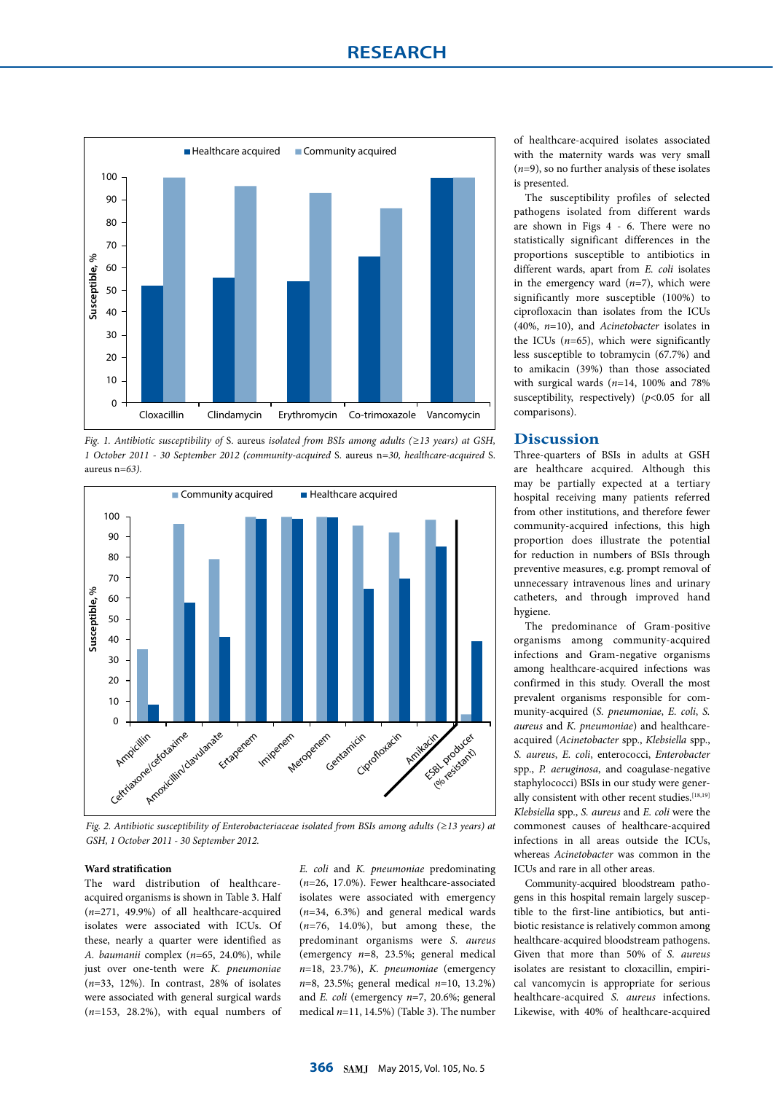

*Fig. 1. Antibiotic susceptibility of* S. aureus *isolated from BSIs among adults (≥13 years) at GSH, 1 October 2011 - 30 September 2012 (community-acquired* S. aureus n*=30, healthcare-acquired* S. aureus n*=63).*



*Fig. 2. Antibiotic susceptibility of Enterobacteriaceae isolated from BSIs among adults (≥13 years) at GSH, 1 October 2011 - 30 September 2012.* 

# **Ward stratification**

The ward distribution of healthcareacquired organisms is shown in Table 3. Half (*n*=271, 49.9%) of all healthcare-acquired isolates were associated with ICUs. Of these, nearly a quarter were identified as *A. baumanii* complex (*n*=65, 24.0%), while just over one-tenth were *K. pneumoniae* (*n*=33, 12%). In contrast, 28% of isolates were associated with general surgical wards (*n*=153, 28.2%), with equal numbers of *E. coli* and *K. pneumoniae* predominating (*n*=26, 17.0%). Fewer healthcare-associated isolates were associated with emergency (*n*=34, 6.3%) and general medical wards (*n*=76, 14.0%), but among these, the predominant organisms were *S. aureus* (emergency *n*=8, 23.5%; general medical *n*=18, 23.7%), *K. pneumoniae* (emergency *n*=8, 23.5%; general medical *n*=10, 13.2%) and *E. coli* (emergency *n*=7, 20.6%; general medical *n*=11, 14.5%) (Table 3). The number

of healthcare-acquired isolates associated with the maternity wards was very small (*n*=9), so no further analysis of these isolates is presented.

The susceptibility profiles of selected pathogens isolated from different wards are shown in Figs 4 - 6. There were no statistically significant differences in the proportions susceptible to antibiotics in different wards, apart from *E. coli* isolates in the emergency ward (*n*=7), which were significantly more susceptible (100%) to ciprofloxacin than isolates from the ICUs (40%, *n*=10), and *Acinetobacter* isolates in the ICUs (*n*=65), which were significantly less susceptible to tobramycin (67.7%) and to amikacin (39%) than those associated with surgical wards (*n*=14, 100% and 78% susceptibility, respectively) ( $p$ <0.05 for all comparisons).

# **Discussion**

Three-quarters of BSIs in adults at GSH are healthcare acquired. Although this may be partially expected at a tertiary hospital receiving many patients referred from other institutions, and therefore fewer community-acquired infections, this high proportion does illustrate the potential for reduction in numbers of BSIs through preventive measures, e.g. prompt removal of unnecessary intravenous lines and urinary catheters, and through improved hand hygiene.

The predominance of Gram-positive organisms among community-acquired infections and Gram-negative organisms among healthcare-acquired infections was confirmed in this study. Overall the most prevalent organisms responsible for community-acquired (*S. pneumoniae*, *E. coli*, *S. aureus* and *K. pneumoniae*) and healthcareacquired (*Acinetobacter* spp., *Klebsiella* spp., *S. aureus*, *E. coli*, enterococci, *Enterobacter*  spp., *P. aeruginosa*, and coagulase-negative staphylococci) BSIs in our study were generally consistent with other recent studies.[18,19] *Klebsiella* spp., *S. aureus* and *E. coli* were the commonest causes of healthcare-acquired infections in all areas outside the ICUs, whereas *Acinetobacter* was common in the ICUs and rare in all other areas.

Community-acquired bloodstream pathogens in this hospital remain largely susceptible to the first-line antibiotics, but antibiotic resistance is relatively common among healthcare-acquired bloodstream pathogens. Given that more than 50% of *S. aureus* isolates are resistant to cloxacillin, empirical vancomycin is appropriate for serious healthcare-acquired *S. aureus* infections. Likewise, with 40% of healthcare-acquired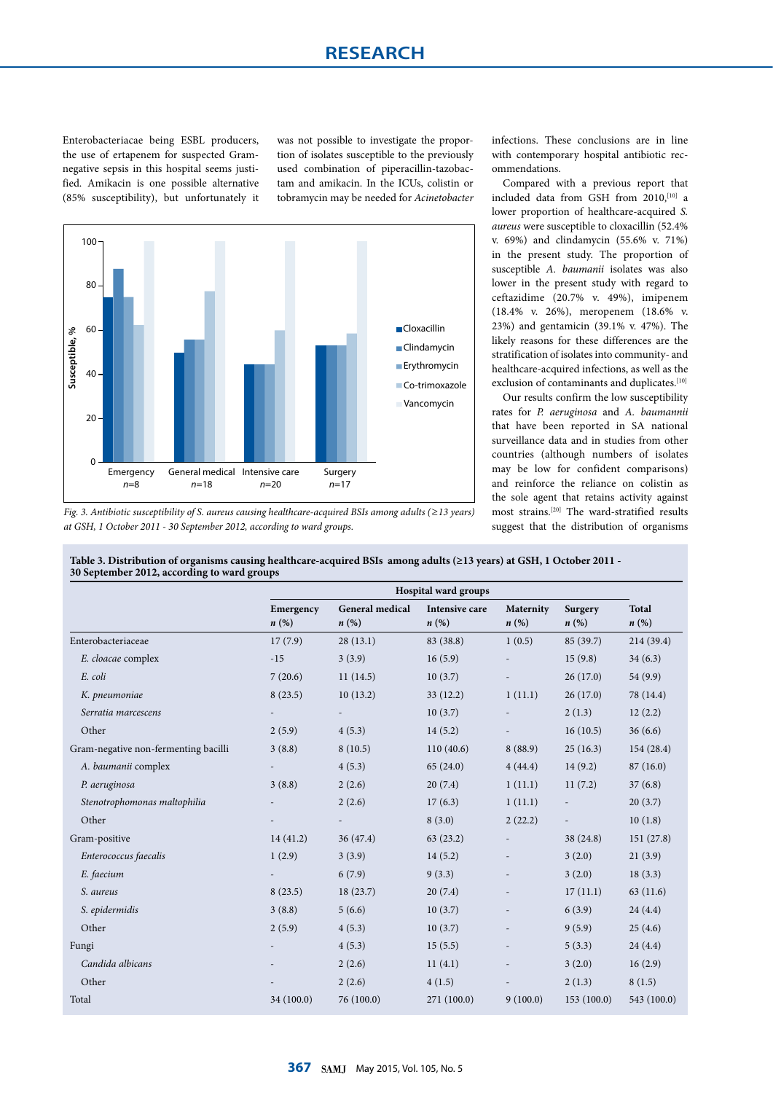Enterobacteriacae being ESBL producers, the use of ertapenem for suspected Gramnegative sepsis in this hospital seems justified. Amikacin is one possible alternative (85% susceptibility), but unfortunately it was not possible to investigate the proportion of isolates susceptible to the previously used combination of piperacillin-tazobactam and amikacin. In the ICUs, colistin or tobramycin may be needed for *Acinetobacter*



*Fig. 3. Antibiotic susceptibility of S. aureus causing healthcare-acquired BSIs among adults (≥13 years) at GSH, 1 October 2011 - 30 September 2012, according to ward groups.*

infections. These conclusions are in line with contemporary hospital antibiotic recommendations.

Compared with a previous report that included data from GSH from 2010,<sup>[10]</sup> a lower proportion of healthcare-acquired *S. aureus* were susceptible to cloxacillin (52.4% v. 69%) and clindamycin (55.6% v. 71%) in the present study. The proportion of susceptible *A. baumanii* isolates was also lower in the present study with regard to ceftazidime (20.7% v. 49%), imipenem (18.4% v. 26%), meropenem (18.6% v. 23%) and gentamicin (39.1% v. 47%). The likely reasons for these differences are the stratification of isolates into community- and healthcare-acquired infections, as well as the exclusion of contaminants and duplicates.<sup>[10]</sup>

Our results confirm the low susceptibility rates for *P. aeruginosa* and *A. baumannii* that have been reported in SA national surveillance data and in studies from other countries (although numbers of isolates may be low for confident comparisons) and reinforce the reliance on colistin as the sole agent that retains activity against most strains.[20] The ward-stratified results suggest that the distribution of organisms

|                                      | Hospital ward groups |                          |                       |           |            |              |
|--------------------------------------|----------------------|--------------------------|-----------------------|-----------|------------|--------------|
|                                      | Emergency            | <b>General medical</b>   | <b>Intensive care</b> | Maternity | Surgery    | <b>Total</b> |
|                                      | $n\left(\%\right)$   | $n\left(\%\right)$       | n(%)                  | n(%)      | n(%)       | n(%)         |
| Enterobacteriaceae                   | 17(7.9)              | 28(13.1)                 | 83 (38.8)             | 1(0.5)    | 85 (39.7)  | 214 (39.4)   |
| E. cloacae complex                   | $-15$                | 3(3.9)                   | 16(5.9)               |           | 15(9.8)    | 34(6.3)      |
| E. coli                              | 7(20.6)              | 11(14.5)                 | 10(3.7)               |           | 26(17.0)   | 54 (9.9)     |
| K. pneumoniae                        | 8(23.5)              | 10(13.2)                 | 33(12.2)              | 1(11.1)   | 26(17.0)   | 78 (14.4)    |
| Serratia marcescens                  |                      | $\overline{\phantom{a}}$ | 10(3.7)               |           | 2(1.3)     | 12(2.2)      |
| Other                                | 2(5.9)               | 4(5.3)                   | 14(5.2)               |           | 16(10.5)   | 36(6.6)      |
| Gram-negative non-fermenting bacilli | 3(8.8)               | 8(10.5)                  | 110(40.6)             | 8(88.9)   | 25(16.3)   | 154 (28.4)   |
| A. baumanii complex                  |                      | 4(5.3)                   | 65(24.0)              | 4(44.4)   | 14(9.2)    | 87(16.0)     |
| P. aeruginosa                        | 3(8.8)               | 2(2.6)                   | 20(7.4)               | 1(11.1)   | 11(7.2)    | 37(6.8)      |
| Stenotrophomonas maltophilia         |                      | 2(2.6)                   | 17(6.3)               | 1(11.1)   |            | 20(3.7)      |
| Other                                |                      |                          | 8(3.0)                | 2(22.2)   |            | 10(1.8)      |
| Gram-positive                        | 14(41.2)             | 36(47.4)                 | 63(23.2)              |           | 38 (24.8)  | 151(27.8)    |
| Enterococcus faecalis                | 1(2.9)               | 3(3.9)                   | 14(5.2)               |           | 3(2.0)     | 21(3.9)      |
| E. faecium                           |                      | 6(7.9)                   | 9(3.3)                |           | 3(2.0)     | 18(3.3)      |
| S. aureus                            | 8(23.5)              | 18(23.7)                 | 20(7.4)               |           | 17(11.1)   | 63 (11.6)    |
| S. epidermidis                       | 3(8.8)               | 5(6.6)                   | 10(3.7)               |           | 6(3.9)     | 24(4.4)      |
| Other                                | 2(5.9)               | 4(5.3)                   | 10(3.7)               |           | 9(5.9)     | 25(4.6)      |
| Fungi                                |                      | 4(5.3)                   | 15(5.5)               |           | 5(3.3)     | 24(4.4)      |
| Candida albicans                     |                      | 2(2.6)                   | 11(4.1)               |           | 3(2.0)     | 16(2.9)      |
| Other                                |                      | 2(2.6)                   | 4(1.5)                |           | 2(1.3)     | 8(1.5)       |
| Total                                | 34 (100.0)           | 76 (100.0)               | 271 (100.0)           | 9(100.0)  | 153(100.0) | 543 (100.0)  |

**Table 3. Distribution of organisms causing healthcare-acquired BSIs among adults (≥13 years) at GSH, 1 October 2011 - 30 September 2012, according to ward groups**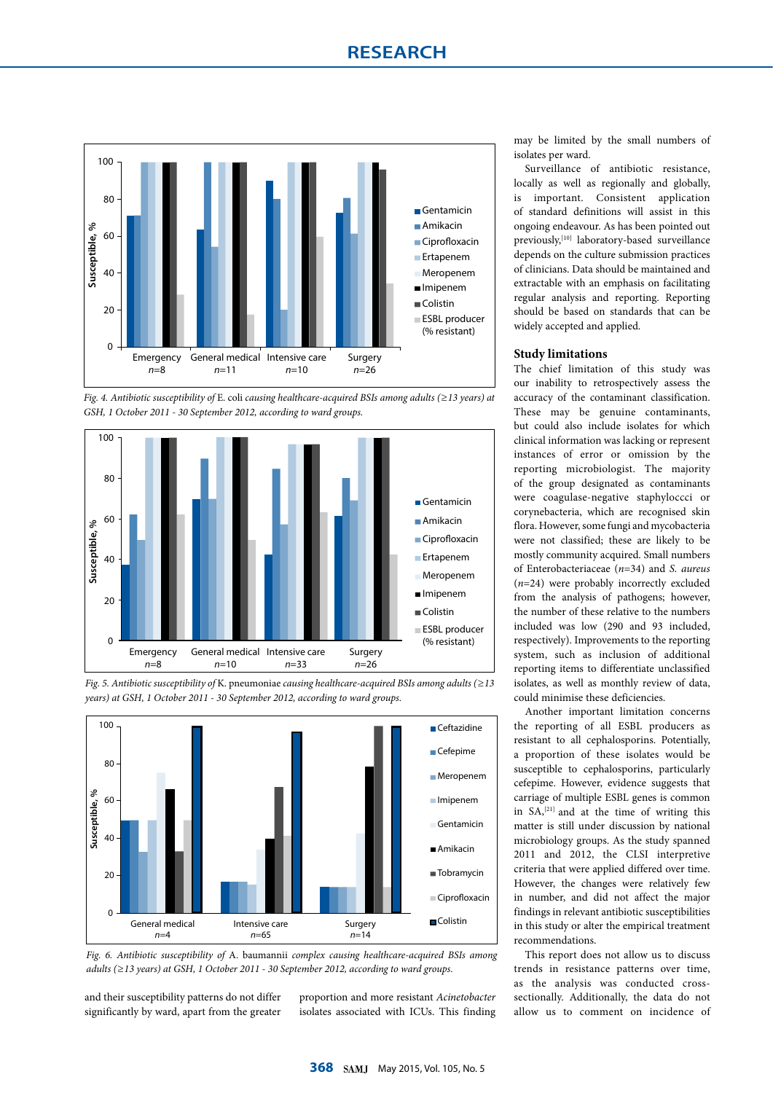

*Fig. 4. Antibiotic susceptibility of* E. coli *causing healthcare-acquired BSIs among adults (≥13 years) at GSH, 1 October 2011 - 30 September 2012, according to ward groups.*







*Fig. 6. Antibiotic susceptibility of* A. baumannii *complex causing healthcare-acquired BSIs among adults (≥13 years) at GSH, 1 October 2011 - 30 September 2012, according to ward groups.*

and their susceptibility patterns do not differ significantly by ward, apart from the greater proportion and more resistant *Acinetobacter* isolates associated with ICUs. This finding

may be limited by the small numbers of isolates per ward.

Surveillance of antibiotic resistance, locally as well as regionally and globally, is important. Consistent application of standard definitions will assist in this ongoing endeavour. As has been pointed out previously,[10] laboratory-based surveillance depends on the culture submission practices of clinicians. Data should be maintained and extractable with an emphasis on facilitating regular analysis and reporting. Reporting should be based on standards that can be widely accepted and applied.

# **Study limitations**

The chief limitation of this study was our inability to retrospectively assess the accuracy of the contaminant classification. These may be genuine contaminants, but could also include isolates for which clinical information was lacking or represent instances of error or omission by the reporting microbiologist. The majority of the group designated as contaminants were coagulase-negative staphyloccci or corynebacteria, which are recognised skin flora. However, some fungi and mycobacteria were not classified; these are likely to be mostly community acquired. Small numbers of Enterobacteriaceae (*n*=34) and *S. aureus* (*n*=24) were probably incorrectly excluded from the analysis of pathogens; however, the number of these relative to the numbers included was low (290 and 93 included, respectively). Improvements to the reporting system, such as inclusion of additional reporting items to differentiate unclassified isolates, as well as monthly review of data, could minimise these deficiencies.

Another important limitation concerns the reporting of all ESBL producers as resistant to all cephalosporins. Potentially, a proportion of these isolates would be susceptible to cephalosporins, particularly cefepime. However, evidence suggests that carriage of multiple ESBL genes is common in SA,[21] and at the time of writing this matter is still under discussion by national microbiology groups. As the study spanned 2011 and 2012, the CLSI interpretive criteria that were applied differed over time. However, the changes were relatively few in number, and did not affect the major findings in relevant antibiotic susceptibilities in this study or alter the empirical treatment recommendations.

This report does not allow us to discuss trends in resistance patterns over time, as the analysis was conducted crosssectionally. Additionally, the data do not allow us to comment on incidence of